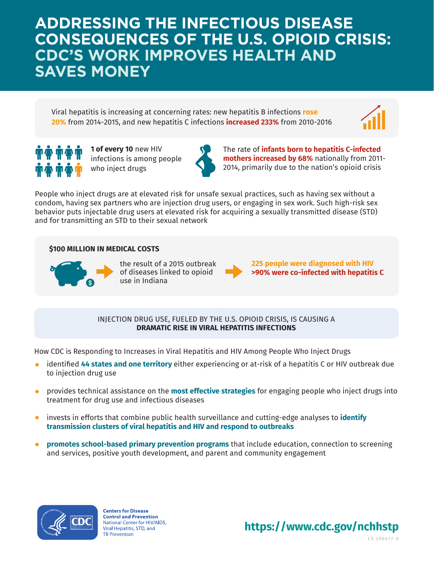**ADDRESSING THE INFECTIOUS DISEASE CONSEQUENCES OF THE U.S. OPIOID CRISIS: CDC'S WORK IMPROVES HEALTH AND SAVES MONEY**

Viral hepatitis is increasing at concerning rates: new hepatitis B infections **rose 20%** from 2014-2015, and new hepatitis C infections **increased 233%** from 2010-2016





**1 of every 10** new HIV infections is among people who inject drugs



The rate of **infants born to hepatitis C-infected mothers increased by 68%** nationally from 2011- 2014, primarily due to the nation's opioid crisis

People who inject drugs are at elevated risk for unsafe sexual practices, such as having sex without a condom, having sex partners who are injection drug users, or engaging in sex work. Such high-risk sex behavior puts injectable drug users at elevated risk for acquiring a sexually transmitted disease (STD) and for transmitting an STD to their sexual network

## **\$100 MILLION IN MEDICAL COSTS**



the result of a 2015 outbreak of diseases linked to opioid use in Indiana



**225 people were diagnosed with HIV >90% were co-infected with hepatitis C**

INJECTION DRUG USE, FUELED BY THE U.S. OPIOID CRISIS, IS CAUSING A **DRAMATIC RISE IN VIRAL HEPATITIS INFECTIONS**

How CDC is Responding to Increases in Viral Hepatitis and HIV Among People Who Inject Drugs

- identified **44 states and one territory** either experiencing or at-risk of a hepatitis C or HIV outbreak due to injection drug use
- provides technical assistance on the **most effective strategies** for engaging people who inject drugs into treatment for drug use and infectious diseases
- invests in efforts that combine public health surveillance and cutting-edge analyses to **identify**   $\bullet$ **transmission clusters of viral hepatitis and HIV and respond to outbreaks**
- **promotes school-based primary prevention programs** that include education, connection to screening and services, positive youth development, and parent and community engagement



**Centers for Disease Control and Prevention** National Center for HIV/AIDS, Viral Hepatitis, STD, and **TB Prevention**